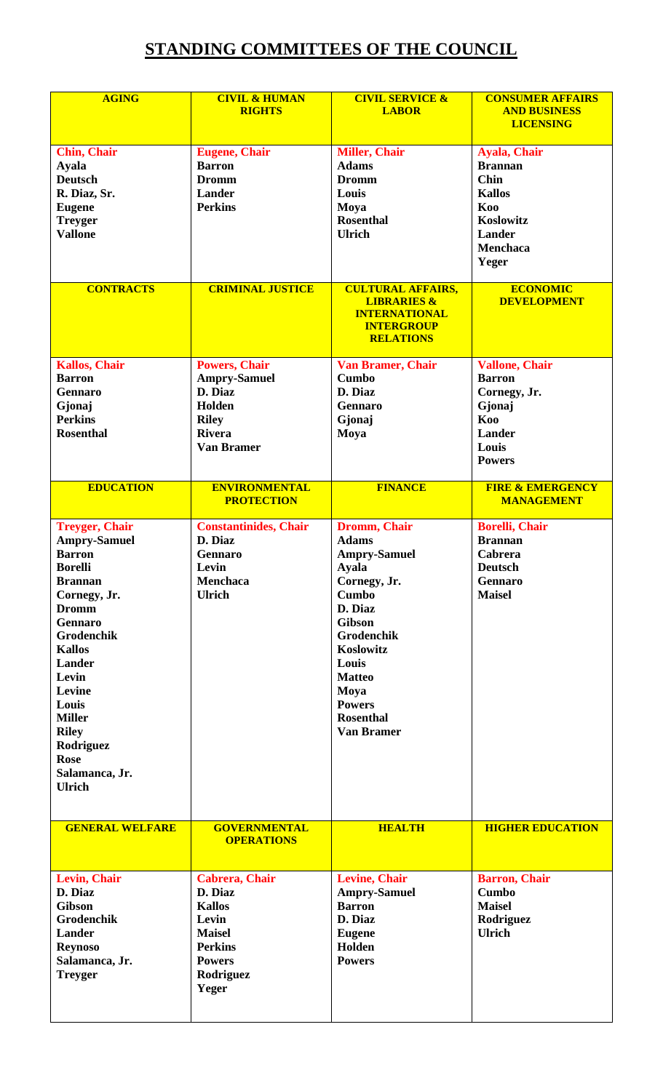## **STANDING COMMITTEES OF THE COUNCIL**

| <b>AGING</b>                                                                                                                                                                                                                                                                                                                    | <b>CIVIL &amp; HUMAN</b><br><b>RIGHTS</b>                                                                                             | <b>CIVIL SERVICE &amp;</b><br><b>LABOR</b>                                                                                                                                                                                                             | <b>CONSUMER AFFAIRS</b><br><b>AND BUSINESS</b><br><b>LICENSING</b>                                                                     |
|---------------------------------------------------------------------------------------------------------------------------------------------------------------------------------------------------------------------------------------------------------------------------------------------------------------------------------|---------------------------------------------------------------------------------------------------------------------------------------|--------------------------------------------------------------------------------------------------------------------------------------------------------------------------------------------------------------------------------------------------------|----------------------------------------------------------------------------------------------------------------------------------------|
| <b>Chin, Chair</b><br><b>Ayala</b><br><b>Deutsch</b><br>R. Diaz, Sr.<br><b>Eugene</b><br><b>Treyger</b><br><b>Vallone</b>                                                                                                                                                                                                       | <b>Eugene</b> , Chair<br><b>Barron</b><br><b>Dromm</b><br><b>Lander</b><br><b>Perkins</b>                                             | <b>Miller, Chair</b><br><b>Adams</b><br><b>Dromm</b><br>Louis<br>Moya<br><b>Rosenthal</b><br><b>Ulrich</b>                                                                                                                                             | <b>Ayala, Chair</b><br><b>Brannan</b><br><b>Chin</b><br><b>Kallos</b><br>Koo<br>Koslowitz<br><b>Lander</b><br><b>Menchaca</b><br>Yeger |
| <b>CONTRACTS</b>                                                                                                                                                                                                                                                                                                                | <b>CRIMINAL JUSTICE</b>                                                                                                               | <b>CULTURAL AFFAIRS,</b><br><b>LIBRARIES &amp;</b><br><b>INTERNATIONAL</b><br><b>INTERGROUP</b><br><b>RELATIONS</b>                                                                                                                                    | <b>ECONOMIC</b><br><b>DEVELOPMENT</b>                                                                                                  |
| <b>Kallos, Chair</b><br><b>Barron</b><br><b>Gennaro</b><br>Gjonaj<br><b>Perkins</b><br><b>Rosenthal</b>                                                                                                                                                                                                                         | <b>Powers, Chair</b><br><b>Ampry-Samuel</b><br>D. Diaz<br>Holden<br><b>Riley</b><br><b>Rivera</b><br><b>Van Bramer</b>                | <b>Van Bramer, Chair</b><br><b>Cumbo</b><br>D. Diaz<br><b>Gennaro</b><br>Gjonaj<br>Moya                                                                                                                                                                | <b>Vallone, Chair</b><br><b>Barron</b><br>Cornegy, Jr.<br>Gjonaj<br>Koo<br><b>Lander</b><br>Louis<br><b>Powers</b>                     |
| <b>EDUCATION</b>                                                                                                                                                                                                                                                                                                                | <b>ENVIRONMENTAL</b><br><b>PROTECTION</b>                                                                                             | <b>FINANCE</b>                                                                                                                                                                                                                                         | <b>FIRE &amp; EMERGENCY</b><br><b>MANAGEMENT</b>                                                                                       |
| <b>Treyger, Chair</b><br><b>Ampry-Samuel</b><br><b>Barron</b><br><b>Borelli</b><br><b>Brannan</b><br>Cornegy, Jr.<br><b>Dromm</b><br><b>Gennaro</b><br>Grodenchik<br><b>Kallos</b><br><b>Lander</b><br>Levin<br>Levine<br>Louis<br><b>Miller</b><br><b>Riley</b><br>Rodriguez<br><b>Rose</b><br>Salamanca, Jr.<br><b>Ulrich</b> | <b>Constantinides, Chair</b><br>D. Diaz<br><b>Gennaro</b><br>Levin<br>Menchaca<br><b>Ulrich</b>                                       | Dromm, Chair<br><b>Adams</b><br><b>Ampry-Samuel</b><br><b>Ayala</b><br>Cornegy, Jr.<br><b>Cumbo</b><br>D. Diaz<br><b>Gibson</b><br>Grodenchik<br>Koslowitz<br>Louis<br><b>Matteo</b><br>Moya<br><b>Powers</b><br><b>Rosenthal</b><br><b>Van Bramer</b> | <b>Borelli, Chair</b><br><b>Brannan</b><br><b>Cabrera</b><br><b>Deutsch</b><br>Gennaro<br><b>Maisel</b>                                |
| <b>GENERAL WELFARE</b>                                                                                                                                                                                                                                                                                                          | <b>GOVERNMENTAL</b><br><b>OPERATIONS</b>                                                                                              | <b>HEALTH</b>                                                                                                                                                                                                                                          | <b>HIGHER EDUCATION</b>                                                                                                                |
| Levin, Chair<br>D. Diaz<br><b>Gibson</b><br>Grodenchik<br><b>Lander</b><br><b>Reynoso</b><br>Salamanca, Jr.<br><b>Treyger</b>                                                                                                                                                                                                   | <b>Cabrera</b> , Chair<br>D. Diaz<br><b>Kallos</b><br>Levin<br><b>Maisel</b><br><b>Perkins</b><br><b>Powers</b><br>Rodriguez<br>Yeger | <b>Levine, Chair</b><br><b>Ampry-Samuel</b><br><b>Barron</b><br>D. Diaz<br><b>Eugene</b><br>Holden<br><b>Powers</b>                                                                                                                                    | <b>Barron</b> , Chair<br><b>Cumbo</b><br><b>Maisel</b><br>Rodriguez<br><b>Ulrich</b>                                                   |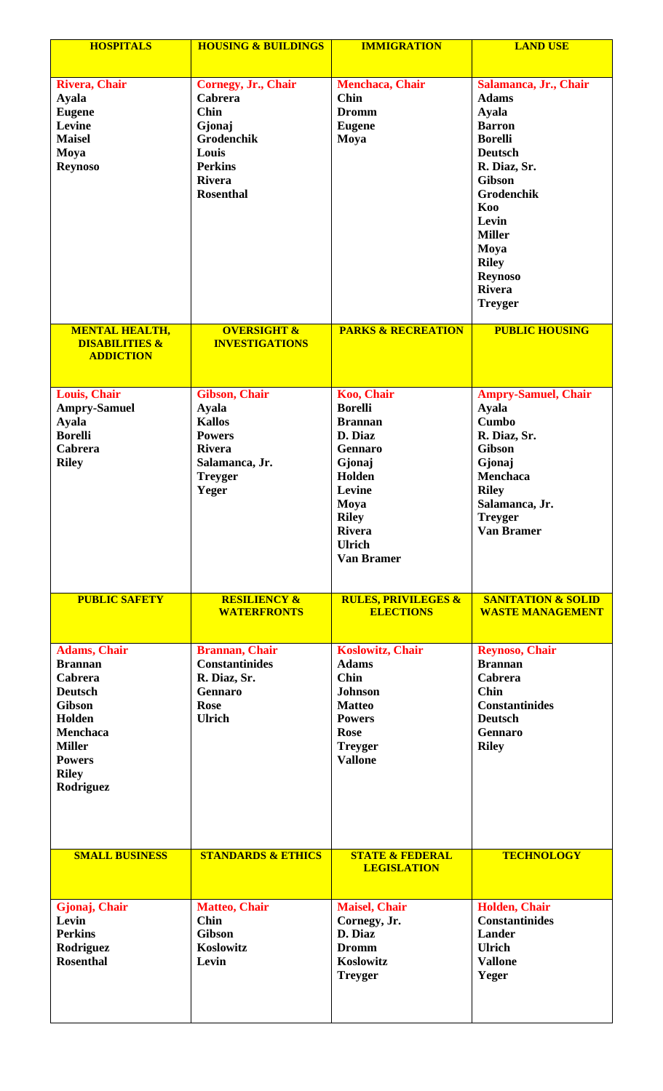| <b>HOSPITALS</b>                                                                                                                                                                | <b>HOUSING &amp; BUILDINGS</b>                                                                                                        | <b>IMMIGRATION</b>                                                                                                                                                                       | <b>LAND USE</b>                                                                                                                                                                                                                                                                |
|---------------------------------------------------------------------------------------------------------------------------------------------------------------------------------|---------------------------------------------------------------------------------------------------------------------------------------|------------------------------------------------------------------------------------------------------------------------------------------------------------------------------------------|--------------------------------------------------------------------------------------------------------------------------------------------------------------------------------------------------------------------------------------------------------------------------------|
|                                                                                                                                                                                 |                                                                                                                                       |                                                                                                                                                                                          |                                                                                                                                                                                                                                                                                |
| <b>Rivera, Chair</b><br><b>Ayala</b><br><b>Eugene</b><br>Levine<br><b>Maisel</b><br>Moya<br><b>Reynoso</b>                                                                      | Cornegy, Jr., Chair<br>Cabrera<br><b>Chin</b><br>Gjonaj<br>Grodenchik<br>Louis<br><b>Perkins</b><br><b>Rivera</b><br><b>Rosenthal</b> | <b>Menchaca</b> , Chair<br>Chin<br><b>Dromm</b><br><b>Eugene</b><br>Moya                                                                                                                 | Salamanca, Jr., Chair<br><b>Adams</b><br><b>Ayala</b><br><b>Barron</b><br><b>Borelli</b><br><b>Deutsch</b><br>R. Diaz, Sr.<br><b>Gibson</b><br><b>Grodenchik</b><br>Koo<br>Levin<br><b>Miller</b><br>Moya<br><b>Riley</b><br><b>Reynoso</b><br><b>Rivera</b><br><b>Treyger</b> |
| <b>MENTAL HEALTH,</b><br><b>DISABILITIES &amp;</b><br><b>ADDICTION</b>                                                                                                          | <b>OVERSIGHT &amp;</b><br><b>INVESTIGATIONS</b>                                                                                       | <b>PARKS &amp; RECREATION</b>                                                                                                                                                            | <b>PUBLIC HOUSING</b>                                                                                                                                                                                                                                                          |
| Louis, Chair<br><b>Ampry-Samuel</b><br><b>Ayala</b><br><b>Borelli</b><br><b>Cabrera</b><br><b>Riley</b>                                                                         | <b>Gibson, Chair</b><br><b>Ayala</b><br><b>Kallos</b><br><b>Powers</b><br><b>Rivera</b><br>Salamanca, Jr.<br><b>Treyger</b><br>Yeger  | Koo, Chair<br><b>Borelli</b><br><b>Brannan</b><br>D. Diaz<br><b>Gennaro</b><br>Gjonaj<br>Holden<br>Levine<br>Moya<br><b>Riley</b><br><b>Rivera</b><br><b>Ulrich</b><br><b>Van Bramer</b> | <b>Ampry-Samuel, Chair</b><br><b>Ayala</b><br><b>Cumbo</b><br>R. Diaz, Sr.<br><b>Gibson</b><br>Gjonaj<br><b>Menchaca</b><br><b>Riley</b><br>Salamanca, Jr.<br><b>Treyger</b><br><b>Van Bramer</b>                                                                              |
| <b>PUBLIC SAFETY</b>                                                                                                                                                            | <b>RESILIENCY &amp;</b><br><b>WATERFRONTS</b>                                                                                         | <b>RULES, PRIVILEGES &amp;</b><br><b>ELECTIONS</b>                                                                                                                                       | <b>SANITATION &amp; SOLID</b><br><b>WASTE MANAGEMENT</b>                                                                                                                                                                                                                       |
| <b>Adams, Chair</b><br><b>Brannan</b><br>Cabrera<br><b>Deutsch</b><br><b>Gibson</b><br>Holden<br><b>Menchaca</b><br><b>Miller</b><br><b>Powers</b><br><b>Riley</b><br>Rodriguez | <b>Brannan</b> , Chair<br><b>Constantinides</b><br>R. Diaz, Sr.<br><b>Gennaro</b><br><b>Rose</b><br><b>Ulrich</b>                     | <b>Koslowitz, Chair</b><br><b>Adams</b><br><b>Chin</b><br><b>Johnson</b><br><b>Matteo</b><br><b>Powers</b><br><b>Rose</b><br><b>Treyger</b><br><b>Vallone</b>                            | <b>Reynoso, Chair</b><br><b>Brannan</b><br><b>Cabrera</b><br><b>Chin</b><br><b>Constantinides</b><br><b>Deutsch</b><br><b>Gennaro</b><br><b>Riley</b>                                                                                                                          |
| <b>SMALL BUSINESS</b>                                                                                                                                                           | <b>STANDARDS &amp; ETHICS</b>                                                                                                         | <b>STATE &amp; FEDERAL</b><br><b>LEGISLATION</b>                                                                                                                                         | <b>TECHNOLOGY</b>                                                                                                                                                                                                                                                              |
| Gjonaj, Chair<br>Levin<br><b>Perkins</b><br>Rodriguez<br><b>Rosenthal</b>                                                                                                       | <b>Matteo, Chair</b><br><b>Chin</b><br><b>Gibson</b><br>Koslowitz<br>Levin                                                            | <b>Maisel, Chair</b><br>Cornegy, Jr.<br>D. Diaz<br><b>Dromm</b><br>Koslowitz<br><b>Treyger</b>                                                                                           | Holden, Chair<br><b>Constantinides</b><br><b>Lander</b><br><b>Ulrich</b><br><b>Vallone</b><br>Yeger                                                                                                                                                                            |